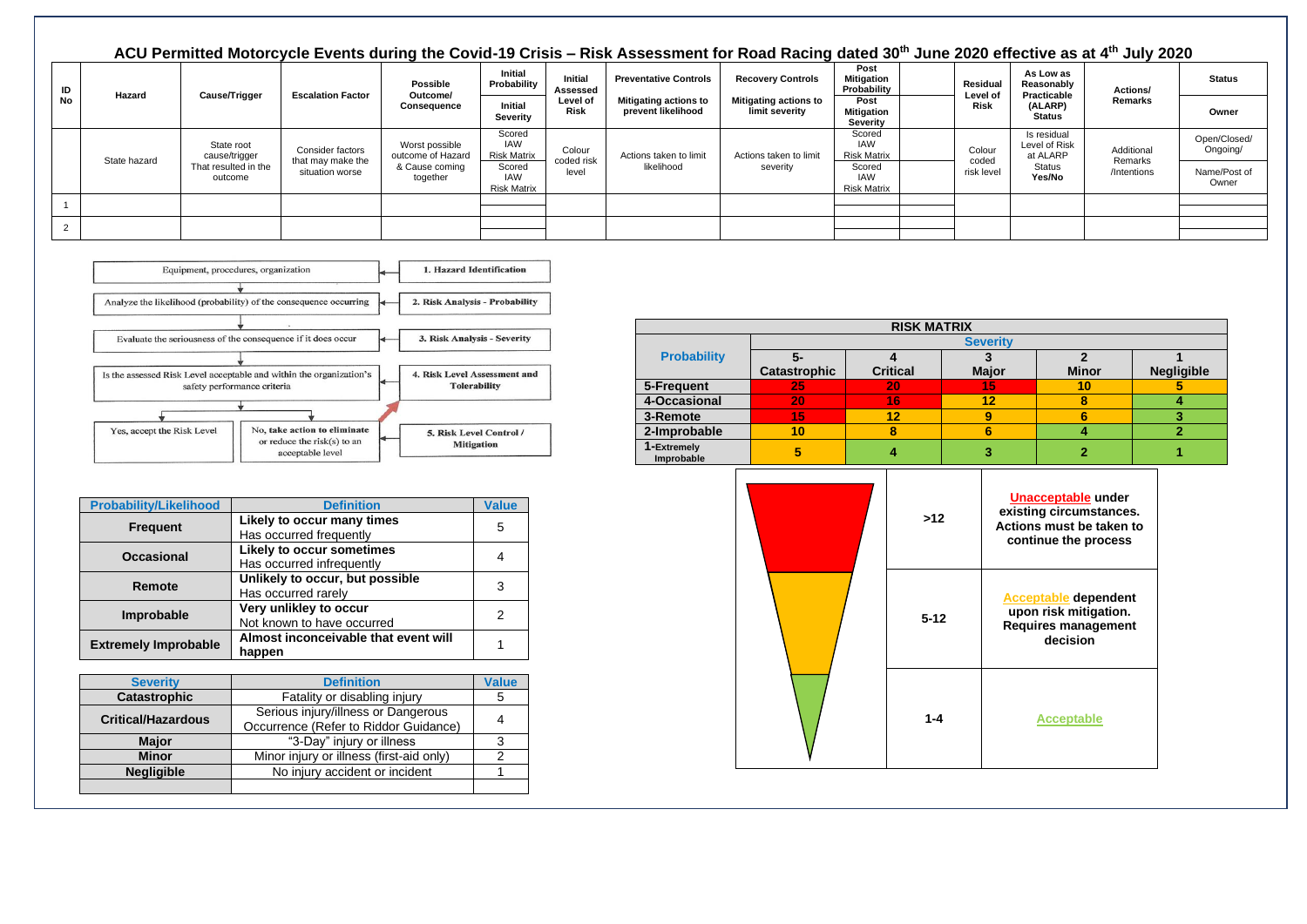## **ACU Permitted Motorcycle Events during the Covid-19 Crisis – Risk Assessment for Road Racing dated 30th June 2020 effective as at 4th July 2020 ID No Hazard Cause/Trigger Escalation Factor Possible Outcome/ Consequence Initial Probability Initial Assessed Level of Risk Preventative Controls Mitigating actions to prevent likelihood Recovery Controls Mitigating actions to limit severity Post Mitigation Probability Residual Level of Risk As Low as Reasonably Practicable (ALARP) Status Actions/ Remarks Status Initial Severity Post Mitigation Severity Owner** State hazard State root cause/trigger That resulted in the outcome Consider factors that may make the situation worse Worst possible outcome of Hazard & Cause coming together Scored IAW Risk Matrix Colour coded risk level Actions taken to limit likelihood Actions taken to limit severity Scored IAW Risk Matrix Colour coded risk level Is residual Level of Risk at ALARP **Status Yes/No** Additional Remarks /Intentions Open/Closed/ Ongoing/ Scored IAW Risk Matrix Scored IAW Risk Matrix Name/Post of **Owner** 1 2



| <b>Probability/Likelihood</b> | <b>Definition</b>                                      | <b>Value</b> |
|-------------------------------|--------------------------------------------------------|--------------|
| <b>Frequent</b>               | Likely to occur many times<br>Has occurred frequently  | 5            |
| <b>Occasional</b>             | Likely to occur sometimes<br>Has occurred infrequently |              |
| Remote                        | Unlikely to occur, but possible<br>Has occurred rarely | 3            |
| Improbable                    | Very unlikley to occur<br>Not known to have occurred   | 2            |
| <b>Extremely Improbable</b>   | Almost inconceivable that event will<br>happen         |              |

| <b>Severity</b>           | <b>Definition</b>                        | <b>Value</b> |
|---------------------------|------------------------------------------|--------------|
| Catastrophic              | Fatality or disabling injury             | 5            |
| <b>Critical/Hazardous</b> | Serious injury/illness or Dangerous      |              |
|                           | Occurrence (Refer to Riddor Guidance)    |              |
| <b>Major</b>              | "3-Day" injury or illness                |              |
| <b>Minor</b>              | Minor injury or illness (first-aid only) |              |
| <b>Negligible</b>         | No injury accident or incident           |              |
|                           |                                          |              |

|                           |                     | <b>RISK MATRIX</b> |                 |              |                   |
|---------------------------|---------------------|--------------------|-----------------|--------------|-------------------|
|                           |                     |                    | <b>Severity</b> |              |                   |
| <b>Probability</b>        | 5-                  |                    |                 |              |                   |
|                           | <b>Catastrophic</b> | <b>Critical</b>    | <b>Major</b>    | <b>Minor</b> | <b>Negligible</b> |
| 5-Frequent                | 25                  | 20                 | 15              | 10           |                   |
| 4-Occasional              | 20                  | 16                 | 12              |              |                   |
| 3-Remote                  | V 5                 | 12                 | 9               |              |                   |
| 2-Improbable              | 10                  |                    | 6               |              |                   |
| 1-Extremely<br>Improbable | 5                   |                    |                 |              |                   |

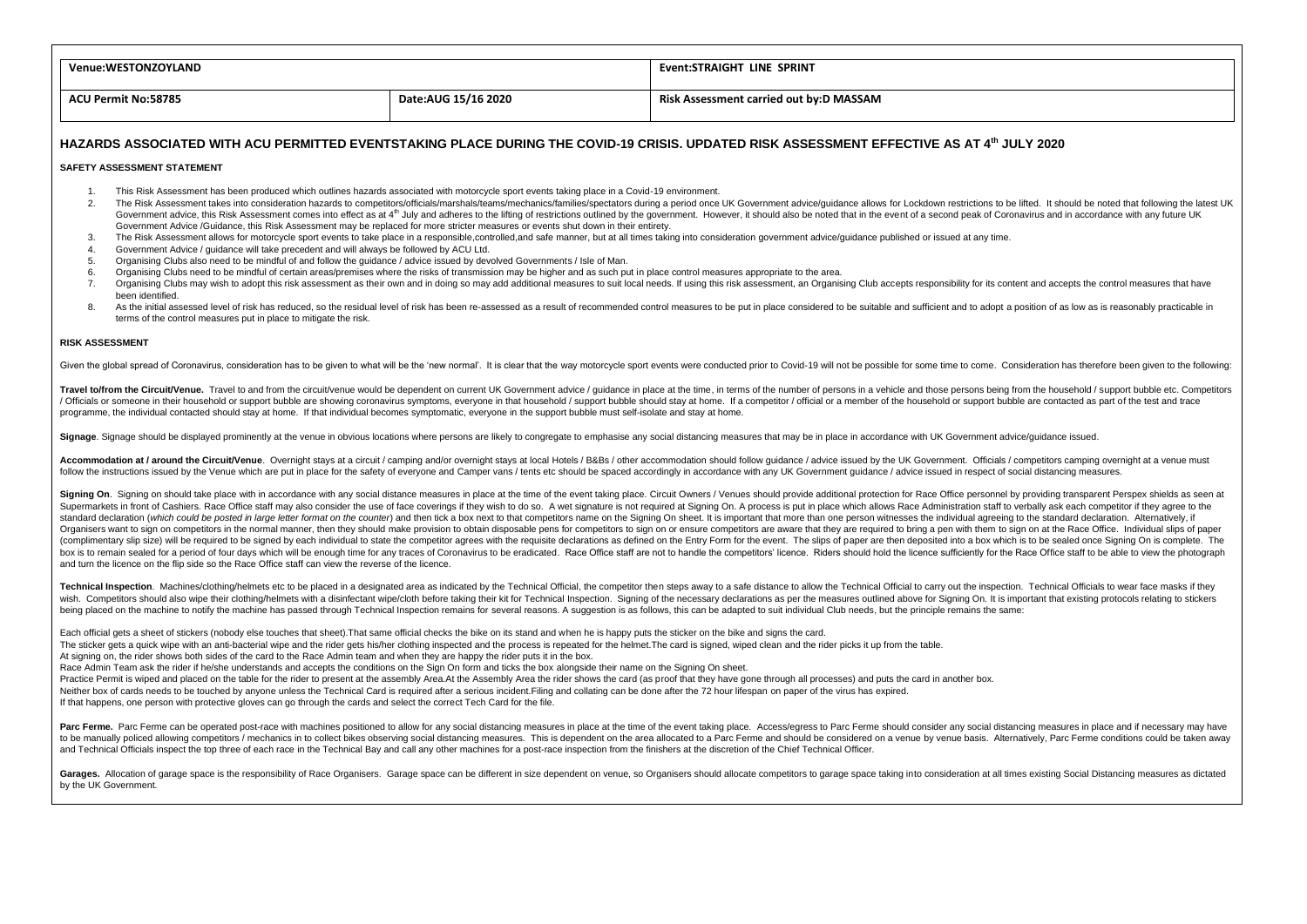| <b>Venue:WESTONZOYLAND</b> |                     | Event:STRAIGHT LINE SPRINT                                                                                                                 |
|----------------------------|---------------------|--------------------------------------------------------------------------------------------------------------------------------------------|
| <b>ACU Permit No:58785</b> | Date:AUG 15/16 2020 | Risk Assessment carried out by:D MASSAM                                                                                                    |
|                            |                     | HAZARDS ASSOCIATED WITH ACU PERMITTED EVENTSTAKING PLACE DURING THE COVID-19 CRISIS. UPDATED RISK ASSESSMENT EFFECTIVE AS AT 4th JULY 2020 |

## **SAFETY ASSESSMENT STATEMENT**

- 1. This Risk Assessment has been produced which outlines hazards associated with motorcycle sport events taking place in a Covid-19 environment.
- The Risk Assessment takes into consideration hazards to competitors/officials/marshals/teams/mechanics/families/spectators during a period once UK Government advice/quidance allows for Lockdown restrictions to be lifted. I Government advice, this Risk Assessment comes into effect as at 4<sup>th</sup> July and adheres to the lifting of restrictions outlined by the government. However, it should also be noted that in the event of a second peak of Coron Government Advice /Guidance, this Risk Assessment may be replaced for more stricter measures or events shut down in their entirety.
- 3. The Risk Assessment allows for motorcycle sport events to take place in a responsible,controlled,and safe manner, but at all times taking into consideration government advice/guidance published or issued at any time.
- 4. Government Advice / guidance will take precedent and will always be followed by ACU Ltd.<br>5. Organising Clubs also need to be mindful of and follow the quidance / advice issued by dev
- 5. Organising Clubs also need to be mindful of and follow the guidance / advice issued by devolved Governments / Isle of Man.<br>Organising Clubs need to be mindful of certain areas/premises where the risks of transmission ma
- 6. Organising Clubs need to be mindful of certain areas/premises where the risks of transmission may be higher and as such put in place control measures appropriate to the area.<br>7. Organising Clubs may wish to adopt this r
- Organising Clubs may wish to adoot this risk assessment as their own and in doing so may add additional measures to suit local needs. If using this risk assessment, an Organising Club accepts responsibility for its content been identified.
- As the initial assessed level of risk has reduced, so the residual level of risk has been re-assessed as a result of recommended control measures to be put in place considered to be suitable and sufficient and to adopt a p terms of the control measures put in place to mitigate the risk.

## **RISK ASSESSMENT**

Given the global spread of Coronavirus, consideration has to be given to what will be the 'new normal'. It is clear that the way motorcycle sport events were conducted prior to Covid-19 will not be possible for some time t

Travel to/from the Circuit/Venue. Travel to and from the circuit/venue would be dependent on current UK Government advice / quidance in place at the time, in terms of the number of persons in a vehicle and those persons be / Officials or someone in their household or support bubble are showing coronavirus symptoms, everyone in that household / support bubble should stay at home. If a competitor / official or a member of the household or supp programme, the individual contacted should stay at home. If that individual becomes symptomatic, everyone in the support bubble must self-isolate and stay at home.

Signage. Signage should be displayed prominently at the venue in obvious locations where persons are likely to congregate to emphasise any social distancing measures that may be in place in accordance with UK Government ad

Accommodation at Laround the Circuit/Venue Overpiont stays at a circuit / camping and/or overpiont stays at local Hotels / B&Bs / other accommodation should follow quidance / advice issued by the IJK Government Officials / follow the instructions issued by the Venue which are put in place for the safety of everyone and Camper vans/tents etc should be spaced accordingly in accordance with any UK Government quidance/advice issued in respect of

Signing On. Signing on should take place with in accordance with any social distance measures in place at the time of the event taking place. Circuit Owners / Venues should provide additional protection for Race Office per Supermarkets in front of Cashiers. Race Office staff may also consider the use of face coverings if they wish to do so. A wet signature is not required at Signing On. A process is put in place which allows Race Administrat standard declaration (which could be posted in large letter format on the counter) and then tick a box next to that competitors name on the Signing On sheet. It is important that more than one person witnesses the individu Organisers want to sign on competitors in the normal manner, then they should make provision to obtain disposable pens for competitors to sign on or ensure competitors are aware that they are required to bring a pen with t (complimentary slip size) will be required to be signed by each individual to state the competitor agrees with the requisite declarations as defined on the Entry Form for the event. The slips of paper are then deposited in box is to remain sealed for a period of four days which will be enough time for any traces of Coronavirus to be eradicated. Race Office staff are not to handle the competitors' licence. Riders should hold the licence suffi and turn the licence on the flip side so the Race Office staff can view the reverse of the licence.

Technical Inspection. Machines/clothing/helmets etc to be placed in a designated area as indicated by the Technical Official, the competitor then steps away to a safe distance to allow the Technical Official to carry out t wish. Competitors should also wipe their clothing/helmets with a disinfectant wipe/cloth before taking their kit for Technical Inspection. Signing of the necessary declarations as per the measures outlined above for Signin being placed on the machine to notify the machine has passed through Technical Inspection remains for several reasons. A suggestion is as follows, this can be adapted to suit individual Club needs, but the principle remain

Each official gets a sheet of stickers (nobody else touches that sheet). That same official checks the bike on its stand and when he is happy puts the sticker on the bike and signs the card.

The sticker gets a quick wipe with an anti-bacterial wipe and the rider gets his/her clothing inspected and the process is repeated for the helmet. The card is signed, wiped clean and the rider picks it up from the table.

At signing on, the rider shows both sides of the card to the Race Admin team and when they are happy the rider puts it in the box.

Race Admin Team ask the rider if he/she understands and accepts the conditions on the Sign On form and ticks the box alongside their name on the Signing On sheet.

Practice Permit is wiped and placed on the table for the rider to present at the assembly Area.At the Assembly Area the rider shows the card (as proof that they have gone through all processes) and puts the card in another

Neither box of cards needs to be touched by anyone unless the Technical Card is required after a serious incident. Filing and collating can be done after the 72 hour lifespan on paper of the virus has expired.

If that happens, one person with protective gloves can go through the cards and select the correct Tech Card for the file.

Parc Ferme. Parc Ferme can be operated post-race with machines positioned to allow for any social distancing measures in place at the time of the event taking place. Access/egress to Parc Ferme should consider any social d to be manually policed allowing competitors / mechanics in to collect bikes observing social distancing measures. This is dependent on the area allocated to a Parc Ferme and should be considered on a venue bay senue basis. and Technical Officials inspect the top three of each race in the Technical Bay and call any other machines for a post-race inspection from the finishers at the discretion of the Chief Technical Officer.

Garages. Allocation of garage space is the responsibility of Race Organisers. Garage space can be different in size dependent on yenue, so Organisers should allocate competitors to garage space taking into consideration at by the UK Government.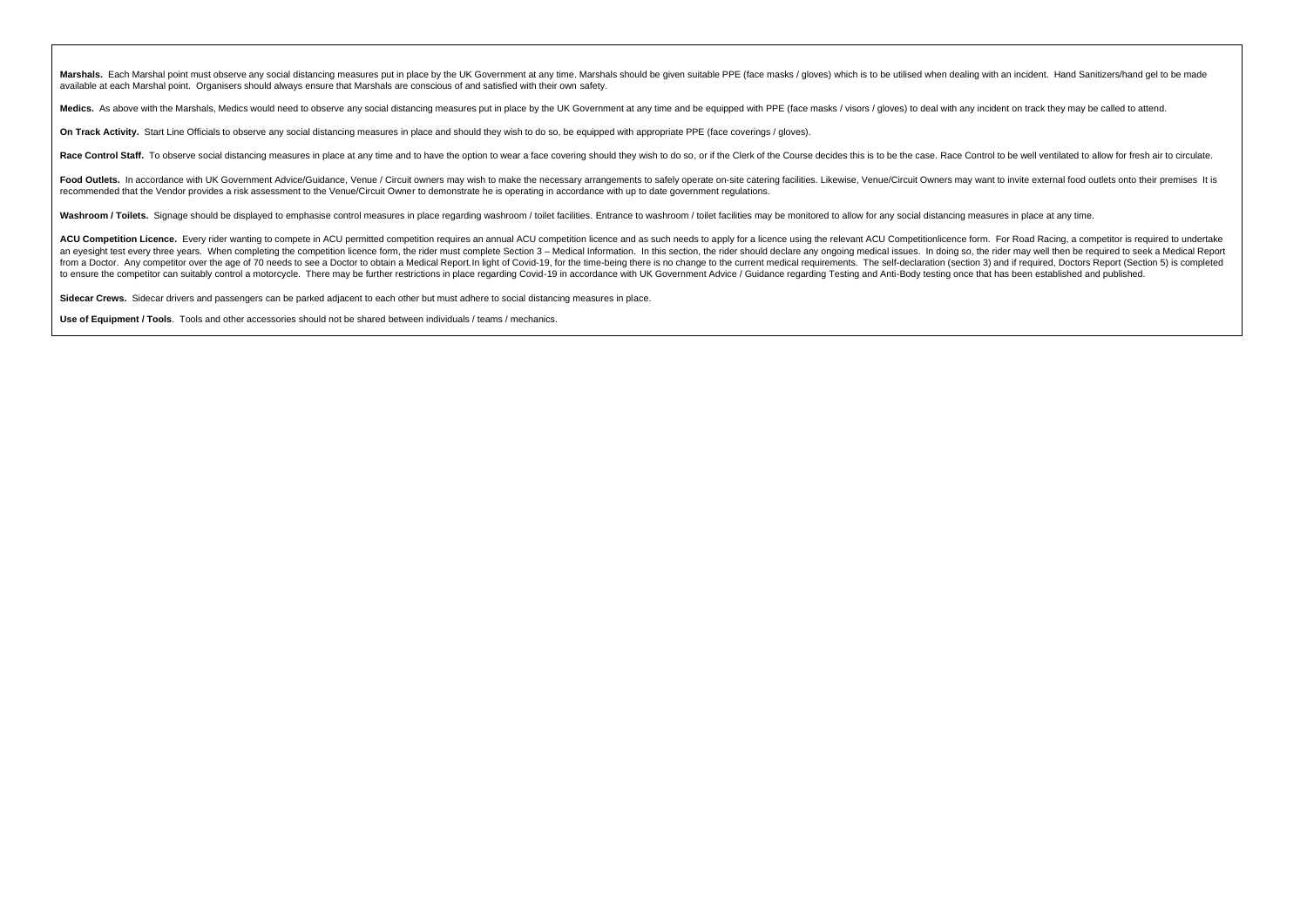Marshals. Each Marshal point must observe any social distancing measures put in place by the UK Government at any time. Marshals should be given suitable PPE (face masks / gloves) which is to be utilised when dealing with available at each Marshal point. Organisers should always ensure that Marshals are conscious of and satisfied with their own safety.

Medics. As above with the Marshals, Medics would need to observe any social distancing measures put in place by the UK Government at any time and be equipped with PPE (face masks / visors / gloves) to deal with any inciden

**On Track Activity.** Start Line Officials to observe any social distancing measures in place and should they wish to do so, be equipped with appropriate PPE (face coverings / gloves).

Race Control Staff. To observe social distancing measures in place at any time and to have the option to wear a face covering should they wish to do so, or if the Clerk of the Cerk of the Course decides this is to be the c

Food Outlets. In accordance with UK Government Advice/Guidance, Venue / Circuit owners may wish to make the necessary arrangements to safely operate on-site catering facilities. Likewise, Venue/Circuit Owners may want to i recommended that the Vendor provides a risk assessment to the Venue/Circuit Owner to demonstrate he is operating in accordance with up to date government regulations.

Washroom / Toilets. Signage should be displayed to emphasise control measures in place regarding washroom / toilet facilities. Entrance to washroom / toilet facilities may be monitored to allow for any social distancing me

ACU Competition Licence. Every rider wanting to compete in ACU permitted competition requires an annual ACU competition licence and as such needs to apply for a licence using the relevant ACU Competitionlicence form. For R an eyesight test every three years. When completing the competition licence form, the rider must complete Section 3 - Medical Information. In this section, the rider should declare any ongoing medical issues. In doing so, from a Doctor. Any competitor over the age of 70 needs to see a Doctor to obtain a Medical Report. In light of Covid-19, for the time-being there is no change to the current medical requirements. The self-declaration (sect to ensure the competitor can suitably control a motorcycle. There may be further restrictions in place regarding Covid-19 in accordance with UK Government Advice / Guidance regarding Testing and Anti-Body testing once that

**Sidecar Crews.** Sidecar drivers and passengers can be parked adjacent to each other but must adhere to social distancing measures in place.

**Use of Equipment / Tools**. Tools and other accessories should not be shared between individuals / teams / mechanics.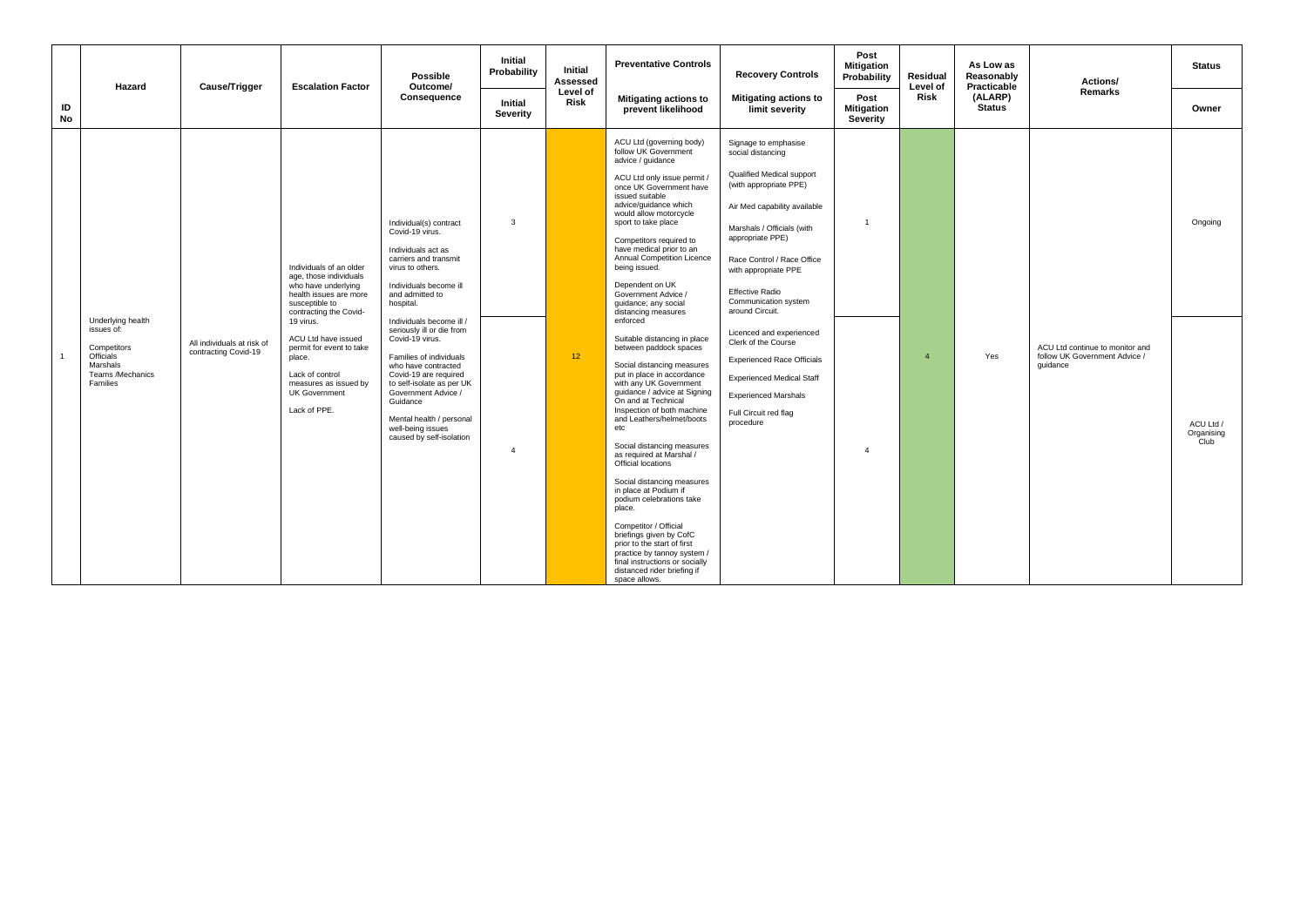|                | Hazard                                                                                           | Cause/Trigger                                      | <b>Escalation Factor</b>                                                                                                                                    | Possible<br>Outcome/                                                                                                                                                                                                                                                 | Initial<br>Probability     | Initial<br>Assessed | <b>Preventative Controls</b>                                                                                                                                                                                                                                                                                                                                                                                                                                                                                                                                                                                                                           | <b>Recovery Controls</b>                                                                                                                                                                                                                                                                                      | Post<br><b>Mitigation</b><br>Probability | Residual<br>Level of | As Low as<br>Reasonably<br>Practicable | Actions/                                                                     | <b>Status</b>                   |
|----------------|--------------------------------------------------------------------------------------------------|----------------------------------------------------|-------------------------------------------------------------------------------------------------------------------------------------------------------------|----------------------------------------------------------------------------------------------------------------------------------------------------------------------------------------------------------------------------------------------------------------------|----------------------------|---------------------|--------------------------------------------------------------------------------------------------------------------------------------------------------------------------------------------------------------------------------------------------------------------------------------------------------------------------------------------------------------------------------------------------------------------------------------------------------------------------------------------------------------------------------------------------------------------------------------------------------------------------------------------------------|---------------------------------------------------------------------------------------------------------------------------------------------------------------------------------------------------------------------------------------------------------------------------------------------------------------|------------------------------------------|----------------------|----------------------------------------|------------------------------------------------------------------------------|---------------------------------|
| ID<br>No       |                                                                                                  |                                                    |                                                                                                                                                             | Consequence                                                                                                                                                                                                                                                          | <b>Initial</b><br>Severity | Level of<br>Risk    | <b>Mitigating actions to</b><br>prevent likelihood                                                                                                                                                                                                                                                                                                                                                                                                                                                                                                                                                                                                     | <b>Mitigating actions to</b><br>limit severity                                                                                                                                                                                                                                                                | Post<br><b>Mitigation</b><br>Severity    | Risk                 | (ALARP)<br>Status                      | Remarks                                                                      | Owner                           |
|                | Underlying health                                                                                |                                                    | Individuals of an older<br>age, those individuals<br>who have underlying<br>health issues are more<br>susceptible to<br>contracting the Covid-<br>19 virus. | Individual(s) contract<br>Covid-19 virus.<br>Individuals act as<br>carriers and transmit<br>virus to others.<br>Individuals become ill<br>and admitted to<br>hospital.<br>Individuals become ill /                                                                   | $\mathbf{3}$               |                     | ACU Ltd (governing body)<br>follow UK Government<br>advice / guidance<br>ACU Ltd only issue permit /<br>once UK Government have<br>issued suitable<br>advice/guidance which<br>would allow motorcycle<br>sport to take place<br>Competitors required to<br>have medical prior to an<br>Annual Competition Licence<br>being issued.<br>Dependent on UK<br>Government Advice /<br>quidance; any social<br>distancing measures<br>enforced                                                                                                                                                                                                                | Signage to emphasise<br>social distancing<br>Qualified Medical support<br>(with appropriate PPE)<br>Air Med capability available<br>Marshals / Officials (with<br>appropriate PPE)<br>Race Control / Race Office<br>with appropriate PPE<br><b>Effective Radio</b><br>Communication system<br>around Circuit. | $\mathbf{1}$                             |                      |                                        |                                                                              | Ongoing                         |
| $\overline{1}$ | issues of:<br>Competitors<br><b>Officials</b><br>Marshals<br>Teams /Mechanics<br><b>Families</b> | All individuals at risk of<br>contracting Covid-19 | ACU Ltd have issued<br>permit for event to take<br>place.<br>Lack of control<br>measures as issued by<br><b>UK Government</b><br>Lack of PPE.               | seriously ill or die from<br>Covid-19 virus.<br>Families of individuals<br>who have contracted<br>Covid-19 are required<br>to self-isolate as per UK<br>Government Advice /<br>Guidance<br>Mental health / personal<br>well-being issues<br>caused by self-isolation | $\overline{4}$             | 12 <sup>°</sup>     | Suitable distancing in place<br>between paddock spaces<br>Social distancing measures<br>put in place in accordance<br>with any UK Government<br>quidance / advice at Signing<br>On and at Technical<br>Inspection of both machine<br>and Leathers/helmet/boots<br>etc<br>Social distancing measures<br>as required at Marshal /<br>Official locations<br>Social distancing measures<br>in place at Podium if<br>podium celebrations take<br>place.<br>Competitor / Official<br>briefings given by CofC<br>prior to the start of first<br>practice by tannoy system /<br>final instructions or socially<br>distanced rider briefing if<br>space allows. | Licenced and experienced<br>Clerk of the Course<br><b>Experienced Race Officials</b><br><b>Experienced Medical Staff</b><br><b>Experienced Marshals</b><br>Full Circuit red flag<br>procedure                                                                                                                 | $\mathbf{A}$                             |                      | Yes                                    | ACU Ltd continue to monitor and<br>follow UK Government Advice /<br>quidance | ACU Ltd /<br>Organising<br>Club |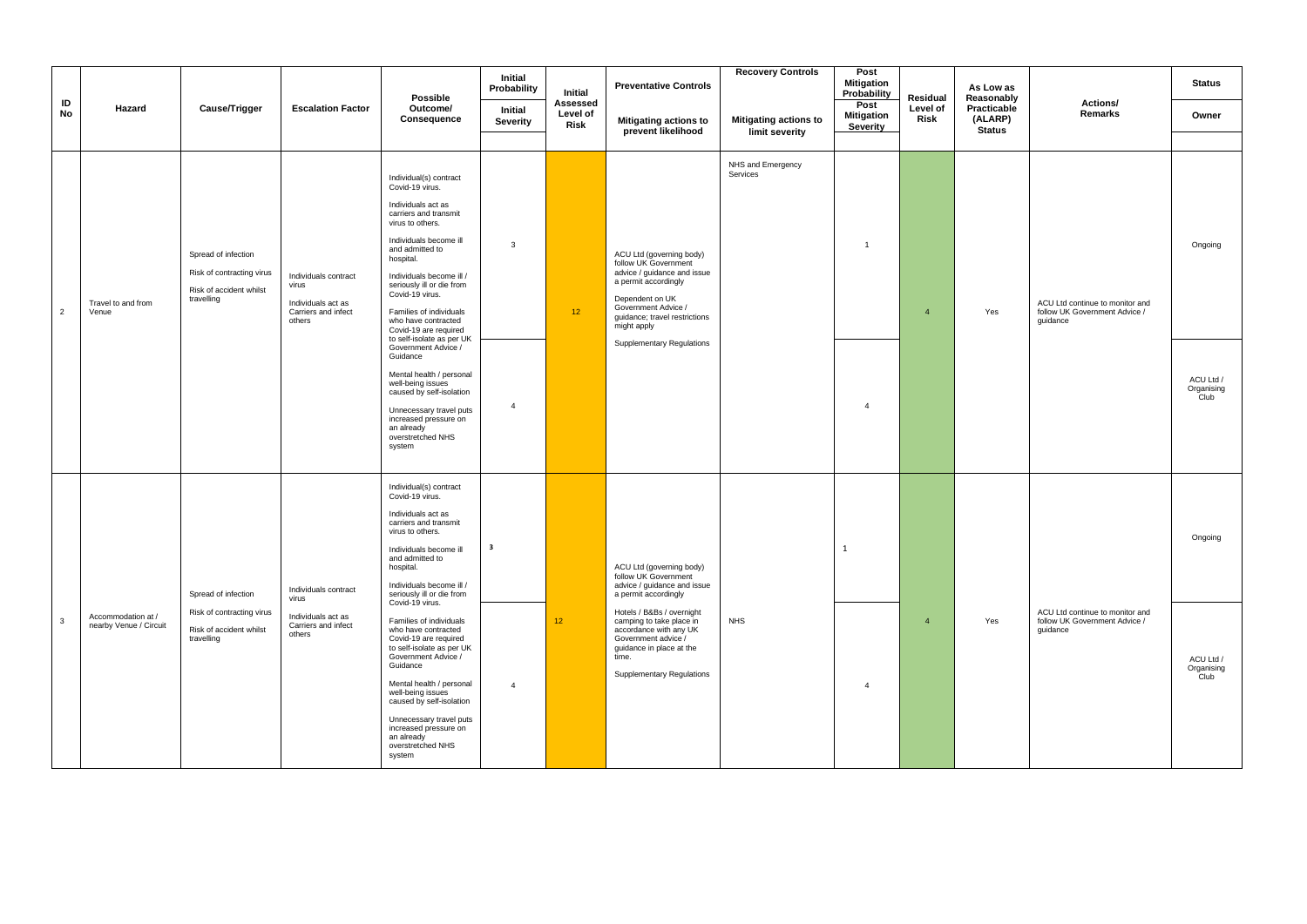|                |                                              |                                                                                           |                                                                                      | Possible                                                                                                                                                                                                                                                                                                                                                                                                                                                                                                                                                                    | Initial<br>Probability                    | Initial                      | <b>Preventative Controls</b>                                                                                                                                                                                                                                                               | <b>Recovery Controls</b>                       | Post<br><b>Mitigation</b><br>Probability | Residual               | As Low as<br>Reasonably                 |                                                                              | <b>Status</b>                              |
|----------------|----------------------------------------------|-------------------------------------------------------------------------------------------|--------------------------------------------------------------------------------------|-----------------------------------------------------------------------------------------------------------------------------------------------------------------------------------------------------------------------------------------------------------------------------------------------------------------------------------------------------------------------------------------------------------------------------------------------------------------------------------------------------------------------------------------------------------------------------|-------------------------------------------|------------------------------|--------------------------------------------------------------------------------------------------------------------------------------------------------------------------------------------------------------------------------------------------------------------------------------------|------------------------------------------------|------------------------------------------|------------------------|-----------------------------------------|------------------------------------------------------------------------------|--------------------------------------------|
| ID<br>No       | Hazard                                       | Cause/Trigger                                                                             | <b>Escalation Factor</b>                                                             | Outcome/<br>Consequence                                                                                                                                                                                                                                                                                                                                                                                                                                                                                                                                                     | <b>Initial</b><br>Severity                | Assessed<br>Level of<br>Risk | Mitigating actions to<br>prevent likelihood                                                                                                                                                                                                                                                | <b>Mitigating actions to</b><br>limit severity | Post<br><b>Mitigation</b><br>Severity    | Level of<br>Risk       | Practicable<br>(ALARP)<br><b>Status</b> | Actions/<br>Remarks                                                          | Owner                                      |
| $\overline{2}$ | Travel to and from<br>Venue                  | Spread of infection<br>Risk of contracting virus<br>Risk of accident whilst<br>travelling | Individuals contract<br>virus<br>Individuals act as<br>Carriers and infect<br>others | Individual(s) contract<br>Covid-19 virus.<br>Individuals act as<br>carriers and transmit<br>virus to others.<br>Individuals become ill<br>and admitted to<br>hospital.<br>Individuals become ill /<br>seriously ill or die from<br>Covid-19 virus.<br>Families of individuals<br>who have contracted<br>Covid-19 are required<br>to self-isolate as per UK<br>Government Advice /<br>Guidance<br>Mental health / personal<br>well-being issues<br>caused by self-isolation<br>Unnecessary travel puts<br>increased pressure on<br>an already<br>overstretched NHS<br>system | 3<br>$\overline{4}$                       | 12 <sub>2</sub>              | ACU Ltd (governing body)<br>follow UK Government<br>advice / guidance and issue<br>a permit accordingly<br>Dependent on UK<br>Government Advice /<br>quidance; travel restrictions<br>might apply<br><b>Supplementary Regulations</b>                                                      | NHS and Emergency<br>Services                  | $\overline{1}$<br>$\overline{4}$         | $\overline{a}$         | Yes                                     | ACU Ltd continue to monitor and<br>follow UK Government Advice /<br>guidance | Ongoing<br>ACU Ltd /<br>Organising<br>Club |
| $\mathbf{3}$   | Accommodation at /<br>nearby Venue / Circuit | Spread of infection<br>Risk of contracting virus<br>Risk of accident whilst<br>travelling | Individuals contract<br>virus<br>Individuals act as<br>Carriers and infect<br>others | Individual(s) contract<br>Covid-19 virus.<br>Individuals act as<br>carriers and transmit<br>virus to others.<br>Individuals become ill<br>and admitted to<br>hospital.<br>Individuals become ill /<br>seriously ill or die from<br>Covid-19 virus.<br>Families of individuals<br>who have contracted<br>Covid-19 are required<br>to self-isolate as per UK<br>Government Advice /<br>Guidance<br>Mental health / personal                                                                                                                                                   | $\overline{\mathbf{3}}$<br>$\overline{4}$ | 12                           | ACU Ltd (governing body)<br>follow UK Government<br>advice / quidance and issue<br>a permit accordingly<br>Hotels / B&Bs / overnight<br>camping to take place in<br>accordance with any UK<br>Government advice /<br>guidance in place at the<br>time.<br><b>Supplementary Regulations</b> | <b>NHS</b>                                     | $\mathbf{1}$<br>$\overline{4}$           | $\boldsymbol{\Lambda}$ | Yes                                     | ACU Ltd continue to monitor and<br>follow UK Government Advice /<br>quidance | Ongoing<br>ACU Ltd /<br>Organising<br>Club |
|                |                                              |                                                                                           |                                                                                      | well-being issues<br>caused by self-isolation<br>Unnecessary travel puts<br>increased pressure on<br>an already<br>overstretched NHS<br>system                                                                                                                                                                                                                                                                                                                                                                                                                              |                                           |                              |                                                                                                                                                                                                                                                                                            |                                                |                                          |                        |                                         |                                                                              |                                            |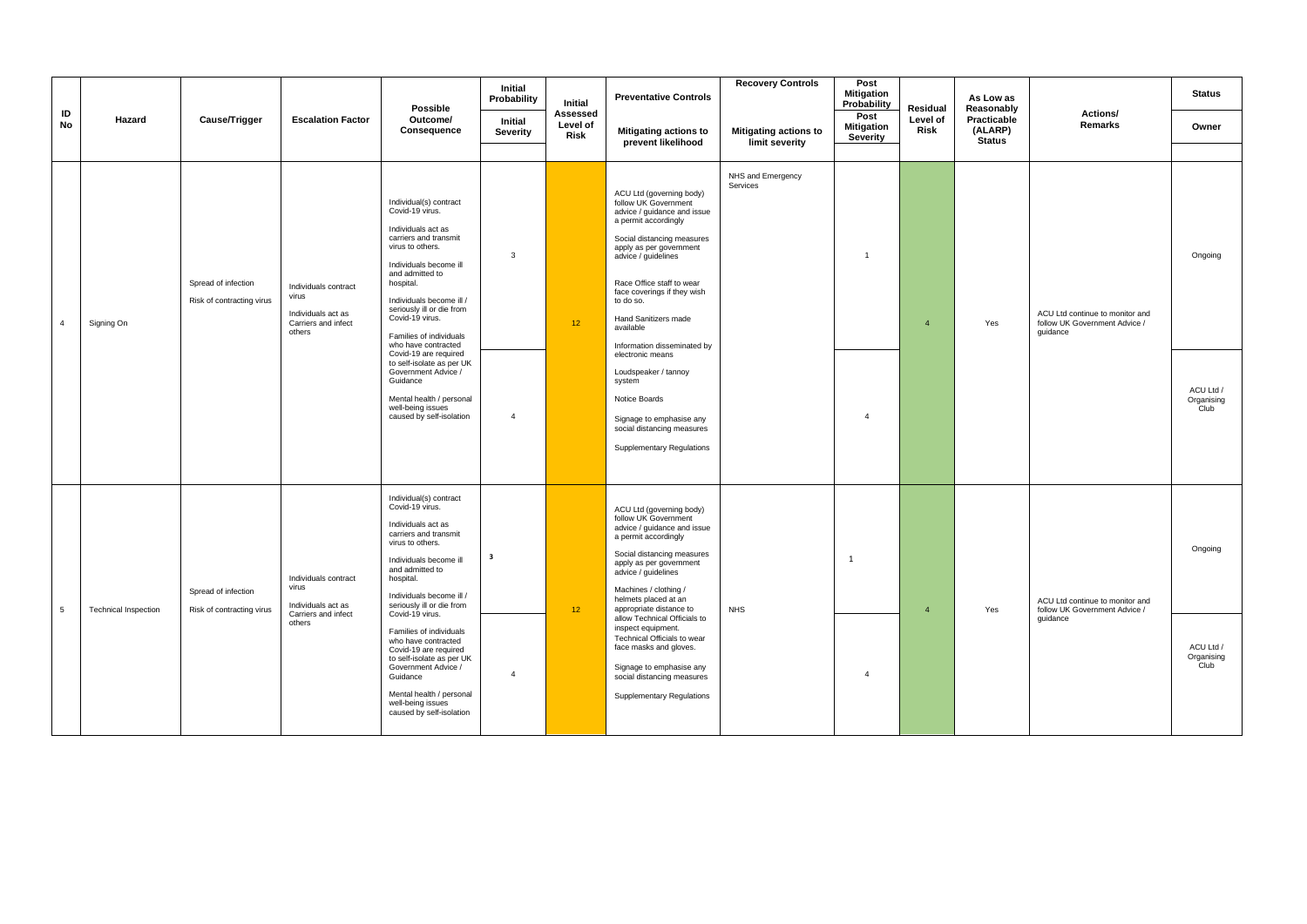|                |                             |                                                  |                                                                                      | Possible                                                                                                                                                                                                                                                                                                                                                                                                                                                                   | Initial<br>Probability                    | Initial                      | <b>Preventative Controls</b>                                                                                                                                                                                                                                                                                                                                                                                                                                                                              | <b>Recovery Controls</b>                       | Post<br><b>Mitigation</b><br>Probability | Residual         | As Low as<br>Reasonably                 |                                                                              | <b>Status</b>                                     |
|----------------|-----------------------------|--------------------------------------------------|--------------------------------------------------------------------------------------|----------------------------------------------------------------------------------------------------------------------------------------------------------------------------------------------------------------------------------------------------------------------------------------------------------------------------------------------------------------------------------------------------------------------------------------------------------------------------|-------------------------------------------|------------------------------|-----------------------------------------------------------------------------------------------------------------------------------------------------------------------------------------------------------------------------------------------------------------------------------------------------------------------------------------------------------------------------------------------------------------------------------------------------------------------------------------------------------|------------------------------------------------|------------------------------------------|------------------|-----------------------------------------|------------------------------------------------------------------------------|---------------------------------------------------|
| ID<br>No       | Hazard                      | Cause/Trigger                                    | <b>Escalation Factor</b>                                                             | Outcome/<br>Consequence                                                                                                                                                                                                                                                                                                                                                                                                                                                    | Initial<br>Severity                       | Assessed<br>Level of<br>Risk | <b>Mitigating actions to</b><br>prevent likelihood                                                                                                                                                                                                                                                                                                                                                                                                                                                        | <b>Mitigating actions to</b><br>limit severity | Post<br><b>Mitigation</b><br>Severity    | Level of<br>Risk | Practicable<br>(ALARP)<br><b>Status</b> | Actions/<br><b>Remarks</b>                                                   | Owner                                             |
| $\overline{4}$ | Signing On                  | Spread of infection<br>Risk of contracting virus | Individuals contract<br>virus<br>Individuals act as<br>Carriers and infect<br>others | Individual(s) contract<br>Covid-19 virus.<br>Individuals act as<br>carriers and transmit<br>virus to others.<br>Individuals become ill<br>and admitted to<br>hospital.<br>Individuals become ill /<br>seriously ill or die from<br>Covid-19 virus.<br>Families of individuals<br>who have contracted<br>Covid-19 are required<br>to self-isolate as per UK<br>Government Advice /<br>Guidance<br>Mental health / personal<br>well-being issues<br>caused by self-isolation | $\mathbf{3}$<br>$\overline{4}$            | 12 <sup>°</sup>              | ACU Ltd (governing body)<br>follow UK Government<br>advice / guidance and issue<br>a permit accordingly<br>Social distancing measures<br>apply as per government<br>advice / quidelines<br>Race Office staff to wear<br>face coverings if they wish<br>to do so.<br>Hand Sanitizers made<br>available<br>Information disseminated by<br>electronic means<br>Loudspeaker / tannoy<br>system<br>Notice Boards<br>Signage to emphasise any<br>social distancing measures<br><b>Supplementary Regulations</b> | NHS and Emergency<br>Services                  | $\overline{1}$<br>$\overline{4}$         | $\mathbf{A}$     | Yes                                     | ACU Ltd continue to monitor and<br>follow UK Government Advice /<br>quidance | Ongoing<br>ACU Ltd /<br>Organising<br><b>Club</b> |
| 5              | <b>Technical Inspection</b> | Spread of infection<br>Risk of contracting virus | Individuals contract<br>virus<br>Individuals act as<br>Carriers and infect<br>others | Individual(s) contract<br>Covid-19 virus.<br>Individuals act as<br>carriers and transmit<br>virus to others.<br>Individuals become ill<br>and admitted to<br>hospital.<br>Individuals become ill /<br>seriously ill or die from<br>Covid-19 virus.<br>Families of individuals<br>who have contracted<br>Covid-19 are required<br>to self-isolate as per UK<br>Government Advice /<br>Guidance<br>Mental health / personal<br>well-being issues<br>caused by self-isolation | $\overline{\mathbf{3}}$<br>$\overline{a}$ | 12 <sup>°</sup>              | ACU Ltd (governing body)<br>follow UK Government<br>advice / guidance and issue<br>a permit accordingly<br>Social distancing measures<br>apply as per government<br>advice / guidelines<br>Machines / clothing /<br>helmets placed at an<br>appropriate distance to<br>allow Technical Officials to<br>inspect equipment.<br>Technical Officials to wear<br>face masks and gloves.<br>Signage to emphasise any<br>social distancing measures<br><b>Supplementary Regulations</b>                          | <b>NHS</b>                                     | 1<br>$\mathbf{A}$                        | $\overline{4}$   | Yes                                     | ACU Ltd continue to monitor and<br>follow UK Government Advice /<br>guidance | Ongoing<br>ACU Ltd /<br>Organising<br>Club        |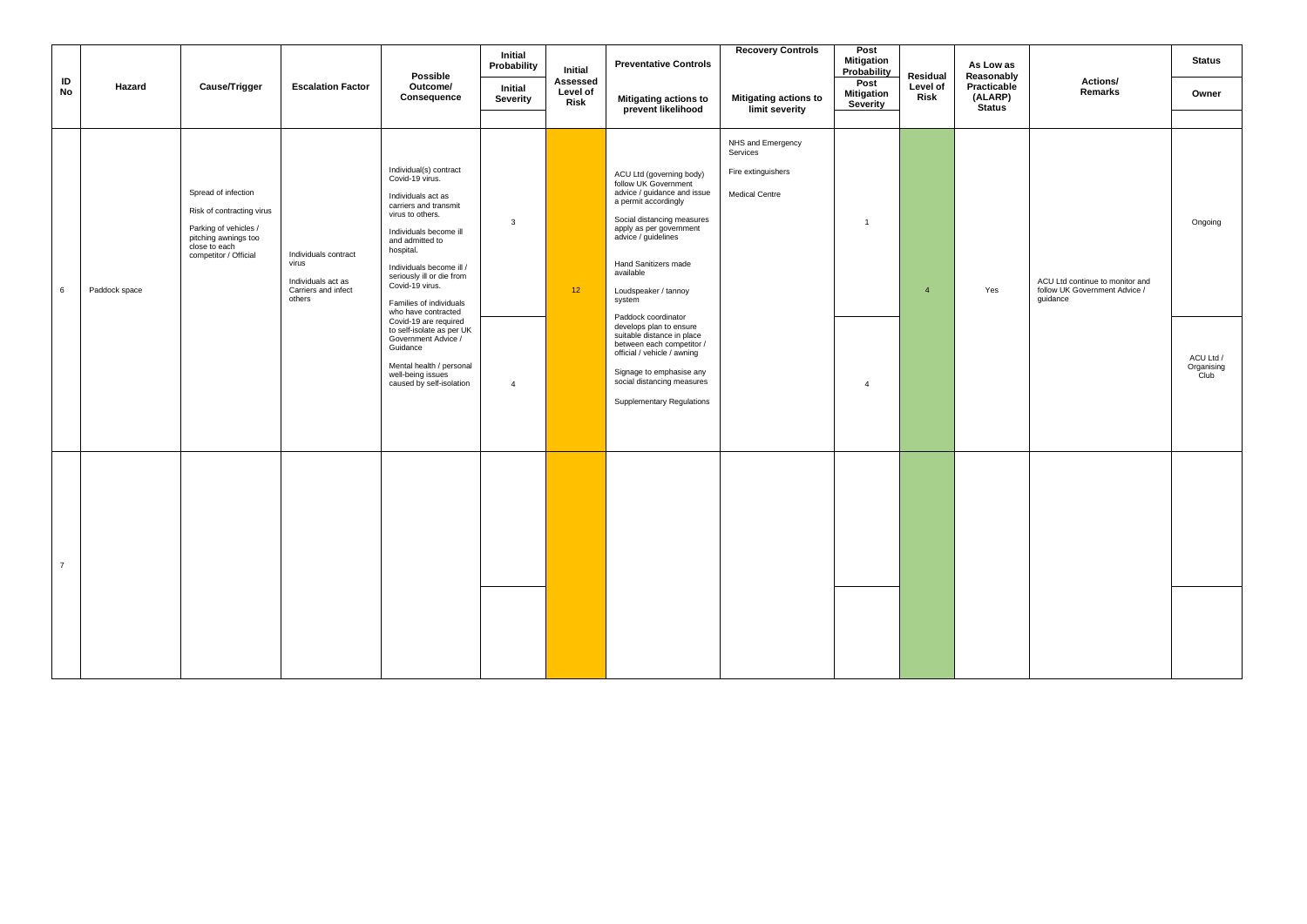|                 |               |                                                                                                                                             |                                                                                      | Possible                                                                                                                                                                                                                                                                                                                                                                                                                                                                   | Initial<br>Probability         | Initial                      | <b>Preventative Controls</b>                                                                                                                                                                                                                                                                                                                                                                                                                                                                             | <b>Recovery Controls</b>                                                     | Post<br><b>Mitigation</b><br>Probability | Residual         | As Low as<br>Reasonably                 |                                                                              | <b>Status</b>                              |
|-----------------|---------------|---------------------------------------------------------------------------------------------------------------------------------------------|--------------------------------------------------------------------------------------|----------------------------------------------------------------------------------------------------------------------------------------------------------------------------------------------------------------------------------------------------------------------------------------------------------------------------------------------------------------------------------------------------------------------------------------------------------------------------|--------------------------------|------------------------------|----------------------------------------------------------------------------------------------------------------------------------------------------------------------------------------------------------------------------------------------------------------------------------------------------------------------------------------------------------------------------------------------------------------------------------------------------------------------------------------------------------|------------------------------------------------------------------------------|------------------------------------------|------------------|-----------------------------------------|------------------------------------------------------------------------------|--------------------------------------------|
| ID<br><b>No</b> | Hazard        | Cause/Trigger                                                                                                                               | <b>Escalation Factor</b>                                                             | Outcome/<br>Consequence                                                                                                                                                                                                                                                                                                                                                                                                                                                    | Initial<br>Severity            | Assessed<br>Level of<br>Risk | <b>Mitigating actions to</b><br>prevent likelihood                                                                                                                                                                                                                                                                                                                                                                                                                                                       | <b>Mitigating actions to</b><br>limit severity                               | Post<br><b>Mitigation</b><br>Severity    | Level of<br>Risk | Practicable<br>(ALARP)<br><b>Status</b> | Actions/<br><b>Remarks</b>                                                   | Owner                                      |
| 6               | Paddock space | Spread of infection<br>Risk of contracting virus<br>Parking of vehicles /<br>pitching awnings too<br>close to each<br>competitor / Official | Individuals contract<br>virus<br>Individuals act as<br>Carriers and infect<br>others | Individual(s) contract<br>Covid-19 virus.<br>Individuals act as<br>carriers and transmit<br>virus to others.<br>Individuals become ill<br>and admitted to<br>hospital.<br>Individuals become ill /<br>seriously ill or die from<br>Covid-19 virus.<br>Families of individuals<br>who have contracted<br>Covid-19 are required<br>to self-isolate as per UK<br>Government Advice /<br>Guidance<br>Mental health / personal<br>well-being issues<br>caused by self-isolation | $\mathbf{3}$<br>$\overline{4}$ | 12 <sup>°</sup>              | ACU Ltd (governing body)<br>follow UK Government<br>advice / guidance and issue<br>a permit accordingly<br>Social distancing measures<br>apply as per government<br>advice / quidelines<br>Hand Sanitizers made<br>available<br>Loudspeaker / tannoy<br>system<br>Paddock coordinator<br>develops plan to ensure<br>suitable distance in place<br>between each competitor /<br>official / vehicle / awning<br>Signage to emphasise any<br>social distancing measures<br><b>Supplementary Regulations</b> | NHS and Emergency<br>Services<br>Fire extinguishers<br><b>Medical Centre</b> | $\overline{1}$<br>$\overline{4}$         | $\overline{4}$   | Yes                                     | ACU Ltd continue to monitor and<br>follow UK Government Advice /<br>quidance | Ongoing<br>ACU Ltd /<br>Organising<br>Club |
| $\overline{7}$  |               |                                                                                                                                             |                                                                                      |                                                                                                                                                                                                                                                                                                                                                                                                                                                                            |                                |                              |                                                                                                                                                                                                                                                                                                                                                                                                                                                                                                          |                                                                              |                                          |                  |                                         |                                                                              |                                            |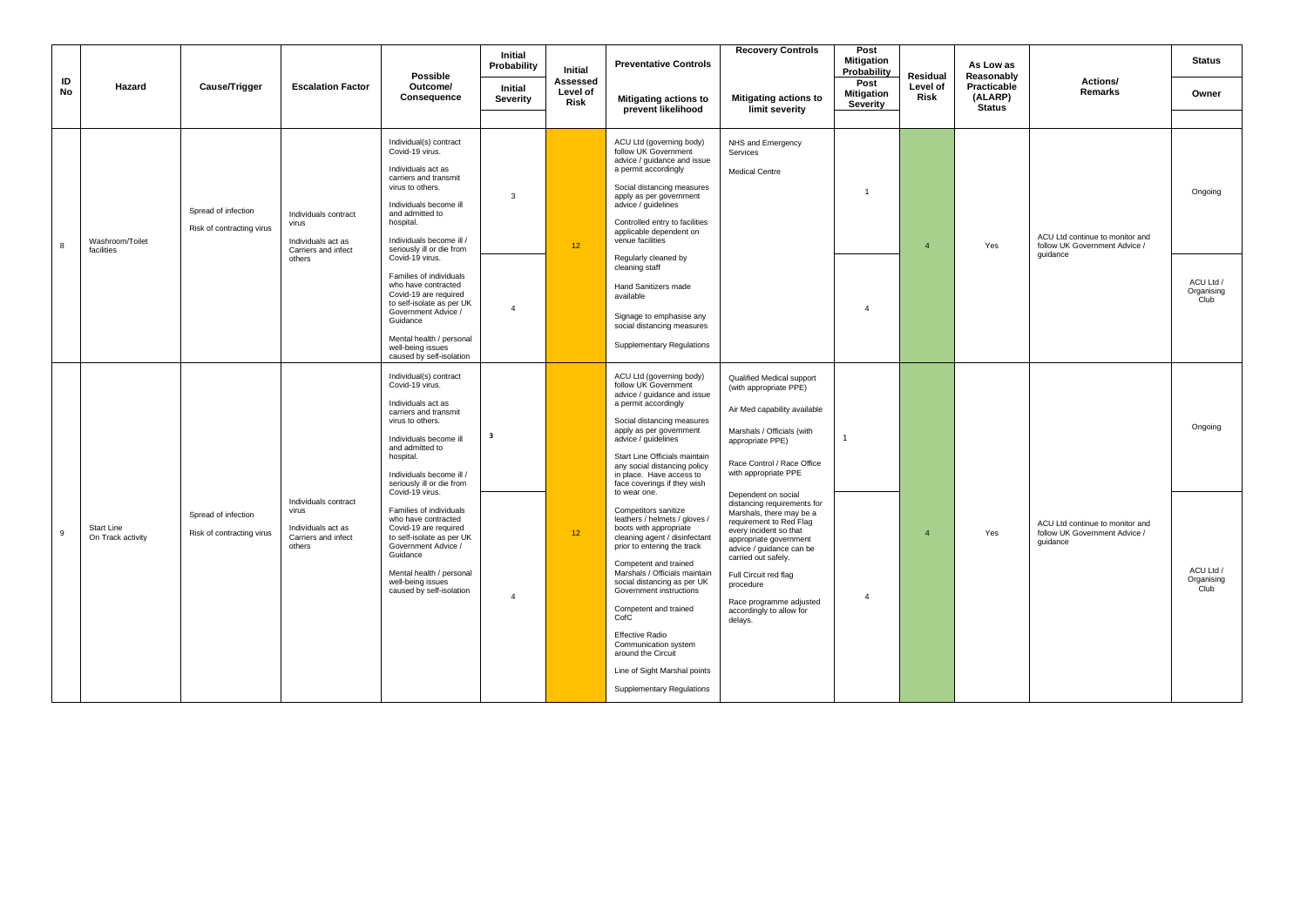| ID<br>No | Hazard                                 | Cause/Trigger                                    | <b>Escalation Factor</b>                                                             |                                                                                                                                                                                                                                                    |                         | Initial                      | <b>Preventative Controls</b>                                                                                                                                                                                                                                                                                                                                                                                 |                                                                                                                                                                                                                                                                                                                          | <b>Mitigation</b><br>Probability      | Residual         | As Low as<br>Reasonably                 |                                                                              | <b>Status</b>                   |
|----------|----------------------------------------|--------------------------------------------------|--------------------------------------------------------------------------------------|----------------------------------------------------------------------------------------------------------------------------------------------------------------------------------------------------------------------------------------------------|-------------------------|------------------------------|--------------------------------------------------------------------------------------------------------------------------------------------------------------------------------------------------------------------------------------------------------------------------------------------------------------------------------------------------------------------------------------------------------------|--------------------------------------------------------------------------------------------------------------------------------------------------------------------------------------------------------------------------------------------------------------------------------------------------------------------------|---------------------------------------|------------------|-----------------------------------------|------------------------------------------------------------------------------|---------------------------------|
|          |                                        |                                                  |                                                                                      | <b>Possible</b><br>Outcome/<br>Consequence                                                                                                                                                                                                         | Initial<br>Severity     | Assessed<br>Level of<br>Risk | <b>Mitigating actions to</b><br>prevent likelihood                                                                                                                                                                                                                                                                                                                                                           | <b>Mitigating actions to</b><br>limit severity                                                                                                                                                                                                                                                                           | Post<br><b>Mitigation</b><br>Severity | Level of<br>Risk | Practicable<br>(ALARP)<br><b>Status</b> | Actions/<br>Remarks                                                          | Owner                           |
| 8        | Washroom/Toilet<br>facilities          | Spread of infection<br>Risk of contracting virus | Individuals contract<br>virus<br>Individuals act as<br>Carriers and infect           | Individual(s) contract<br>Covid-19 virus.<br>Individuals act as<br>carriers and transmit<br>virus to others.<br>Individuals become ill<br>and admitted to<br>hospital.<br>Individuals become ill /<br>seriously ill or die from                    | 3                       | 12 <sup>7</sup>              | ACU Ltd (governing body)<br>follow UK Government<br>advice / guidance and issue<br>a permit accordingly<br>Social distancing measures<br>apply as per government<br>advice / quidelines<br>Controlled entry to facilities<br>applicable dependent on<br>venue facilities                                                                                                                                     | NHS and Emergency<br>Services<br>Medical Centre                                                                                                                                                                                                                                                                          |                                       | $\overline{4}$   | Yes                                     | ACU Ltd continue to monitor and<br>follow UK Government Advice /             | Ongoing                         |
|          |                                        |                                                  | others                                                                               | Covid-19 virus.<br>Families of individuals<br>who have contracted<br>Covid-19 are required<br>to self-isolate as per UK<br>Government Advice /<br>Guidance<br>Mental health / personal<br>well-being issues<br>caused by self-isolation            | $\overline{4}$          |                              | Regularly cleaned by<br>cleaning staff<br><b>Hand Sanitizers made</b><br>available<br>Signage to emphasise any<br>social distancing measures<br><b>Supplementary Regulations</b>                                                                                                                                                                                                                             |                                                                                                                                                                                                                                                                                                                          | $\mathbf{A}$                          |                  |                                         | quidance                                                                     | ACU Ltd /<br>Organising<br>Club |
|          |                                        |                                                  |                                                                                      | Individual(s) contract<br>Covid-19 virus.<br>Individuals act as<br>carriers and transmit<br>virus to others.<br>Individuals become ill<br>and admitted to<br>hospital.<br>Individuals become ill /<br>seriously ill or die from<br>Covid-19 virus. | $\overline{\mathbf{3}}$ |                              | ACU Ltd (governing body)<br>follow UK Government<br>advice / guidance and issue<br>a permit accordingly<br>Social distancing measures<br>apply as per government<br>advice / quidelines<br>Start Line Officials maintain<br>any social distancing policy<br>in place. Have access to<br>face coverings if they wish<br>to wear one.                                                                          | Qualified Medical support<br>(with appropriate PPE)<br>Air Med capability available<br>Marshals / Officials (with<br>appropriate PPE)<br>Race Control / Race Office<br>with appropriate PPE                                                                                                                              | $\mathbf{1}$                          |                  |                                         |                                                                              | Ongoing                         |
| 9        | <b>Start Line</b><br>On Track activity | Spread of infection<br>Risk of contracting virus | Individuals contract<br>virus<br>Individuals act as<br>Carriers and infect<br>others | Families of individuals<br>who have contracted<br>Covid-19 are required<br>to self-isolate as per UK<br>Government Advice /<br>Guidance<br>Mental health / personal<br>well-being issues<br>caused by self-isolation                               | $\overline{4}$          | 12 <sup>°</sup>              | Competitors sanitize<br>leathers / helmets / gloves /<br>boots with appropriate<br>cleaning agent / disinfectant<br>prior to entering the track<br>Competent and trained<br>Marshals / Officials maintain<br>social distancing as per UK<br>Government instructions<br>Competent and trained<br>CofC<br><b>Effective Radio</b><br>Communication system<br>around the Circuit<br>Line of Sight Marshal points | Dependent on social<br>distancing requirements for<br>Marshals, there may be a<br>requirement to Red Flag<br>every incident so that<br>appropriate government<br>advice / quidance can be<br>carried out safely.<br>Full Circuit red flag<br>procedure<br>Race programme adjusted<br>accordingly to allow for<br>delays. | $\overline{4}$                        | $\overline{a}$   | Yes                                     | ACU Ltd continue to monitor and<br>follow UK Government Advice /<br>quidance | ACU Ltd /<br>Organising<br>Club |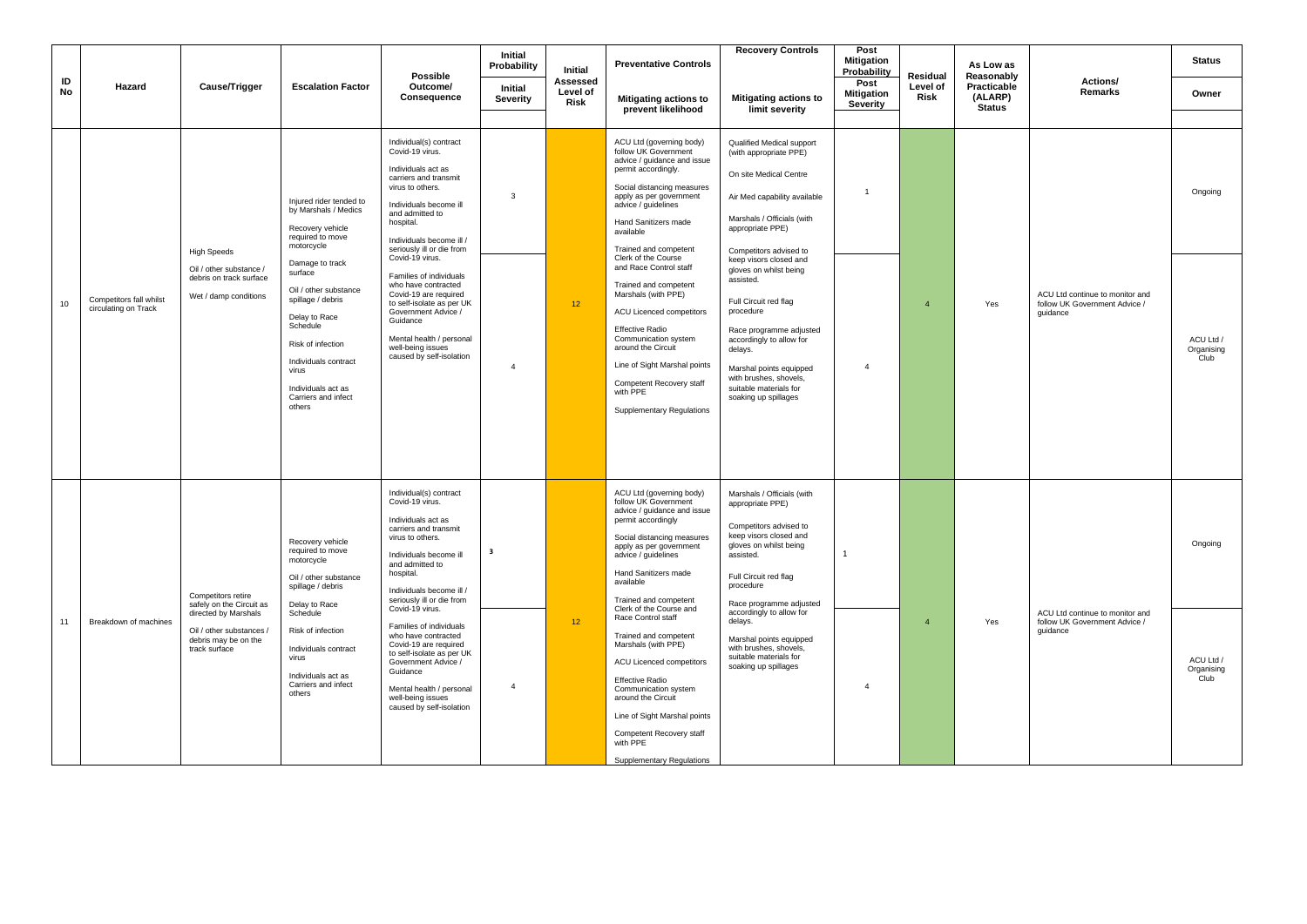|          |                                                 |                                                                                                                                             |                                                                                                                                                                                                                                            | Possible                                                                                                                                                                                                                                                                                                                                                                                                                  | Initial<br>Probability                    | Initial                      | <b>Preventative Controls</b>                                                                                                                                                                                                                                                                                                                                                                                                       | <b>Recovery Controls</b>                                                                                                                                                                                                                                                                                                                                 | Post<br><b>Mitigation</b><br>Probability | Residual                | As Low as<br>Reasonably                 |                                                                              | <b>Status</b>                              |
|----------|-------------------------------------------------|---------------------------------------------------------------------------------------------------------------------------------------------|--------------------------------------------------------------------------------------------------------------------------------------------------------------------------------------------------------------------------------------------|---------------------------------------------------------------------------------------------------------------------------------------------------------------------------------------------------------------------------------------------------------------------------------------------------------------------------------------------------------------------------------------------------------------------------|-------------------------------------------|------------------------------|------------------------------------------------------------------------------------------------------------------------------------------------------------------------------------------------------------------------------------------------------------------------------------------------------------------------------------------------------------------------------------------------------------------------------------|----------------------------------------------------------------------------------------------------------------------------------------------------------------------------------------------------------------------------------------------------------------------------------------------------------------------------------------------------------|------------------------------------------|-------------------------|-----------------------------------------|------------------------------------------------------------------------------|--------------------------------------------|
| ID<br>No | Hazard                                          | Cause/Trigger                                                                                                                               | <b>Escalation Factor</b>                                                                                                                                                                                                                   | Outcome/<br>Consequence                                                                                                                                                                                                                                                                                                                                                                                                   | <b>Initial</b><br>Severity                | Assessed<br>Level of<br>Risk | Mitigating actions to<br>prevent likelihood                                                                                                                                                                                                                                                                                                                                                                                        | <b>Mitigating actions to</b><br>limit severity                                                                                                                                                                                                                                                                                                           | Post<br><b>Mitigation</b><br>Severity    | Level of<br>Risk        | Practicable<br>(ALARP)<br><b>Status</b> | Actions/<br>Remarks                                                          | Owner                                      |
|          |                                                 |                                                                                                                                             |                                                                                                                                                                                                                                            |                                                                                                                                                                                                                                                                                                                                                                                                                           |                                           |                              |                                                                                                                                                                                                                                                                                                                                                                                                                                    |                                                                                                                                                                                                                                                                                                                                                          |                                          |                         |                                         |                                                                              |                                            |
|          |                                                 |                                                                                                                                             | Injured rider tended to<br>by Marshals / Medics<br>Recovery vehicle<br>required to move<br>motorcycle                                                                                                                                      | Individual(s) contract<br>Covid-19 virus.<br>Individuals act as<br>carriers and transmit<br>virus to others.<br>Individuals become ill<br>and admitted to<br>hospital.<br>Individuals become ill /<br>seriously ill or die from                                                                                                                                                                                           | 3                                         |                              | ACU Ltd (governing body)<br>follow UK Government<br>advice / guidance and issue<br>permit accordingly.<br>Social distancing measures<br>apply as per government<br>advice / guidelines<br>Hand Sanitizers made<br>available<br>Trained and competent                                                                                                                                                                               | Qualified Medical support<br>(with appropriate PPE)<br>On site Medical Centre<br>Air Med capability available<br>Marshals / Officials (with<br>appropriate PPE)<br>Competitors advised to                                                                                                                                                                | $\overline{1}$                           |                         |                                         |                                                                              | Ongoing                                    |
| 10       | Competitors fall whilst<br>circulating on Track | <b>High Speeds</b><br>Oil / other substance /<br>debris on track surface<br>Wet / damp conditions                                           | Damage to track<br>surface<br>Oil / other substance<br>spillage / debris<br>Delay to Race<br>Schedule<br>Risk of infection<br>Individuals contract<br>virus<br>Individuals act as<br>Carriers and infect<br>others                         | Covid-19 virus.<br>Families of individuals<br>who have contracted<br>Covid-19 are required<br>to self-isolate as per UK<br>Government Advice /<br>Guidance<br>Mental health / personal<br>well-being issues<br>caused by self-isolation                                                                                                                                                                                   | $\overline{a}$                            | 12 <sub>2</sub>              | Clerk of the Course<br>and Race Control staff<br>Trained and competent<br>Marshals (with PPE)<br><b>ACU Licenced competitors</b><br><b>Effective Radio</b><br>Communication system<br>around the Circuit<br>Line of Sight Marshal points<br>Competent Recovery staff<br>with PPE<br><b>Supplementary Regulations</b>                                                                                                               | keep visors closed and<br>gloves on whilst being<br>assisted.<br>Full Circuit red flag<br>procedure<br>Race programme adjusted<br>accordingly to allow for<br>delays.<br>Marshal points equipped<br>with brushes, shovels,<br>suitable materials for<br>soaking up spillages                                                                             | $\overline{4}$                           | $\overline{\mathbf{4}}$ | Yes                                     | ACU Ltd continue to monitor and<br>follow UK Government Advice /<br>quidance | ACU Ltd /<br>Organising<br>Club            |
| 11       | Breakdown of machines                           | Competitors retire<br>safely on the Circuit as<br>directed by Marshals<br>Oil / other substances /<br>debris may be on the<br>track surface | Recovery vehicle<br>required to move<br>motorcycle<br>Oil / other substance<br>spillage / debris<br>Delay to Race<br>Schedule<br>Risk of infection<br>Individuals contract<br>virus<br>Individuals act as<br>Carriers and infect<br>others | Individual(s) contract<br>Covid-19 virus.<br>Individuals act as<br>carriers and transmit<br>virus to others.<br>Individuals become ill<br>and admitted to<br>hospital.<br>Individuals become ill /<br>seriously ill or die from<br>Covid-19 virus.<br>Families of individuals<br>who have contracted<br>Covid-19 are required<br>to self-isolate as per UK<br>Government Advice /<br>Guidance<br>Mental health / personal | $\overline{\mathbf{3}}$<br>$\overline{4}$ | 12 <sup>°</sup>              | ACU Ltd (governing body)<br>follow UK Government<br>advice / guidance and issue<br>permit accordingly<br>Social distancing measures<br>apply as per government<br>advice / guidelines<br>Hand Sanitizers made<br>available<br>Trained and competent<br>Clerk of the Course and<br>Race Control staff<br>Trained and competent<br>Marshals (with PPE)<br>ACU Licenced competitors<br><b>Effective Radio</b><br>Communication system | Marshals / Officials (with<br>appropriate PPE)<br>Competitors advised to<br>keep visors closed and<br>gloves on whilst being<br>assisted.<br>Full Circuit red flag<br>procedure<br>Race programme adjusted<br>accordingly to allow for<br>delays.<br>Marshal points equipped<br>with brushes, shovels,<br>suitable materials for<br>soaking up spillages | 1<br>$\overline{4}$                      | $\overline{A}$          | Yes                                     | ACU Ltd continue to monitor and<br>follow UK Government Advice /<br>quidance | Ongoing<br>ACU Ltd /<br>Organising<br>Club |
|          |                                                 |                                                                                                                                             |                                                                                                                                                                                                                                            | well-being issues<br>caused by self-isolation                                                                                                                                                                                                                                                                                                                                                                             |                                           |                              | around the Circuit<br>Line of Sight Marshal points<br>Competent Recovery staff<br>with PPE<br>Supplementary Regulations                                                                                                                                                                                                                                                                                                            |                                                                                                                                                                                                                                                                                                                                                          |                                          |                         |                                         |                                                                              |                                            |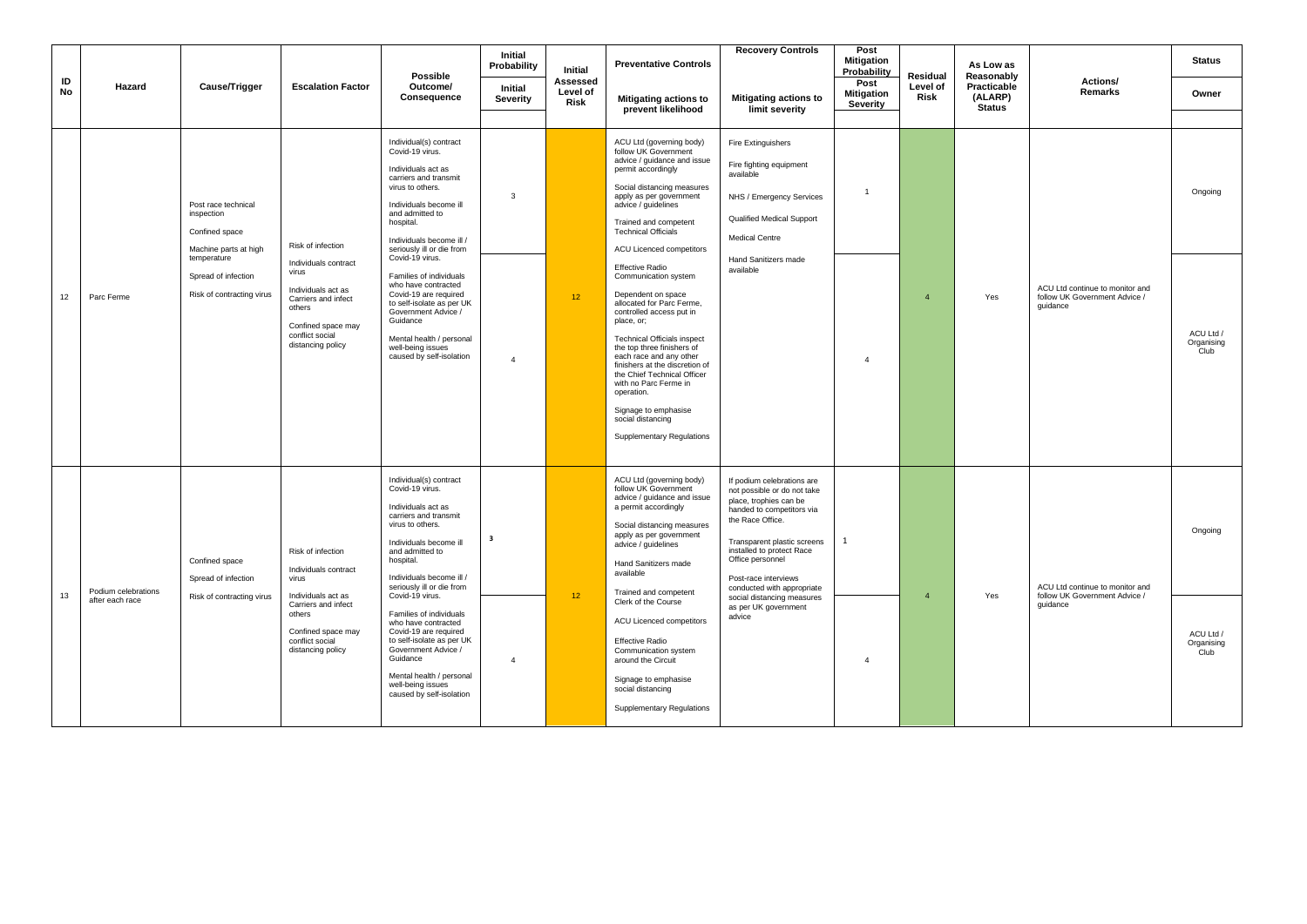|          |                                        |                                                                                                                                                 |                                                                                                                                                                         | <b>Possible</b>                                                                                                                                                                                                                                                                                                                                                                                                                                                            | Initial<br>Probability                    | Initial                             | <b>Preventative Controls</b>                                                                                                                                                                                                                                                                                                                                                                                                                                                                                                                                                                                                                                                       | <b>Recovery Controls</b>                                                                                                                                                                                                                                                                                                                   | Post<br><b>Mitigation</b><br>Probability | <b>Residual</b>  | As Low as<br>Reasonably                 |                                                                              | <b>Status</b>                              |
|----------|----------------------------------------|-------------------------------------------------------------------------------------------------------------------------------------------------|-------------------------------------------------------------------------------------------------------------------------------------------------------------------------|----------------------------------------------------------------------------------------------------------------------------------------------------------------------------------------------------------------------------------------------------------------------------------------------------------------------------------------------------------------------------------------------------------------------------------------------------------------------------|-------------------------------------------|-------------------------------------|------------------------------------------------------------------------------------------------------------------------------------------------------------------------------------------------------------------------------------------------------------------------------------------------------------------------------------------------------------------------------------------------------------------------------------------------------------------------------------------------------------------------------------------------------------------------------------------------------------------------------------------------------------------------------------|--------------------------------------------------------------------------------------------------------------------------------------------------------------------------------------------------------------------------------------------------------------------------------------------------------------------------------------------|------------------------------------------|------------------|-----------------------------------------|------------------------------------------------------------------------------|--------------------------------------------|
| ID<br>No | Hazard                                 | Cause/Trigger                                                                                                                                   | <b>Escalation Factor</b>                                                                                                                                                | Outcome/<br>Consequence                                                                                                                                                                                                                                                                                                                                                                                                                                                    | Initial<br><b>Severity</b>                | Assessed<br>Level of<br><b>Risk</b> | <b>Mitigating actions to</b><br>prevent likelihood                                                                                                                                                                                                                                                                                                                                                                                                                                                                                                                                                                                                                                 | <b>Mitigating actions to</b><br>limit severity                                                                                                                                                                                                                                                                                             | Post<br><b>Mitigation</b><br>Severity    | Level of<br>Risk | Practicable<br>(ALARP)<br><b>Status</b> | Actions/<br>Remarks                                                          | Owner                                      |
| 12       | Parc Ferme                             | Post race technical<br>inspection<br>Confined space<br>Machine parts at high<br>temperature<br>Spread of infection<br>Risk of contracting virus | Risk of infection<br>Individuals contract<br>virus<br>Individuals act as<br>Carriers and infect<br>others<br>Confined space may<br>conflict social<br>distancing policy | Individual(s) contract<br>Covid-19 virus.<br>Individuals act as<br>carriers and transmit<br>virus to others.<br>Individuals become ill<br>and admitted to<br>hospital.<br>Individuals become ill /<br>seriously ill or die from<br>Covid-19 virus.<br>Families of individuals<br>who have contracted<br>Covid-19 are required<br>to self-isolate as per UK<br>Government Advice /<br>Guidance<br>Mental health / personal<br>well-being issues<br>caused by self-isolation | 3<br>$\overline{4}$                       | 12 <sup>°</sup>                     | ACU Ltd (governing body)<br>follow UK Government<br>advice / guidance and issue<br>permit accordingly<br>Social distancing measures<br>apply as per government<br>advice / guidelines<br>Trained and competent<br><b>Technical Officials</b><br><b>ACU Licenced competitors</b><br><b>Effective Radio</b><br>Communication system<br>Dependent on space<br>allocated for Parc Ferme,<br>controlled access put in<br>place, or;<br><b>Technical Officials inspect</b><br>the top three finishers of<br>each race and any other<br>finishers at the discretion of<br>the Chief Technical Officer<br>with no Parc Ferme in<br>operation.<br>Signage to emphasise<br>social distancing | Fire Extinguishers<br>Fire fighting equipment<br>available<br>NHS / Emergency Services<br>Qualified Medical Support<br><b>Medical Centre</b><br>Hand Sanitizers made<br>available                                                                                                                                                          | $\overline{1}$<br>$\overline{4}$         | $\overline{4}$   | Yes                                     | ACU Ltd continue to monitor and<br>follow UK Government Advice /<br>quidance | Ongoing<br>ACU Ltd /<br>Organising<br>Club |
| 13       | Podium celebrations<br>after each race | Confined space<br>Spread of infection<br>Risk of contracting virus                                                                              | Risk of infection<br>Individuals contract<br>virus<br>Individuals act as<br>Carriers and infect<br>others<br>Confined space may<br>conflict social<br>distancing policy | Individual(s) contract<br>Covid-19 virus.<br>Individuals act as<br>carriers and transmit<br>virus to others.<br>Individuals become ill<br>and admitted to<br>hospital.<br>Individuals become ill /<br>seriously ill or die from<br>Covid-19 virus.<br>Families of individuals<br>who have contracted<br>Covid-19 are required<br>to self-isolate as per UK<br>Government Advice /<br>Guidance<br>Mental health / personal<br>well-being issues<br>caused by self-isolation | $\overline{\mathbf{3}}$<br>$\overline{4}$ | 12 <sub>2</sub>                     | <b>Supplementary Regulations</b><br>ACU Ltd (governing body)<br>follow UK Government<br>advice / guidance and issue<br>a permit accordingly<br>Social distancing measures<br>apply as per government<br>advice / guidelines<br>Hand Sanitizers made<br>available<br>Trained and competent<br>Clerk of the Course<br><b>ACU Licenced competitors</b><br><b>Effective Radio</b><br>Communication system<br>around the Circuit<br>Signage to emphasise<br>social distancing<br><b>Supplementary Regulations</b>                                                                                                                                                                       | If podium celebrations are<br>not possible or do not take<br>place, trophies can be<br>handed to competitors via<br>the Race Office.<br>Transparent plastic screens<br>installed to protect Race<br>Office personnel<br>Post-race interviews<br>conducted with appropriate<br>social distancing measures<br>as per UK government<br>advice | 1<br>$\overline{4}$                      | $\overline{a}$   | Yes                                     | ACU Ltd continue to monitor and<br>follow UK Government Advice /<br>quidance | Ongoing<br>ACU Ltd /<br>Organising<br>Club |